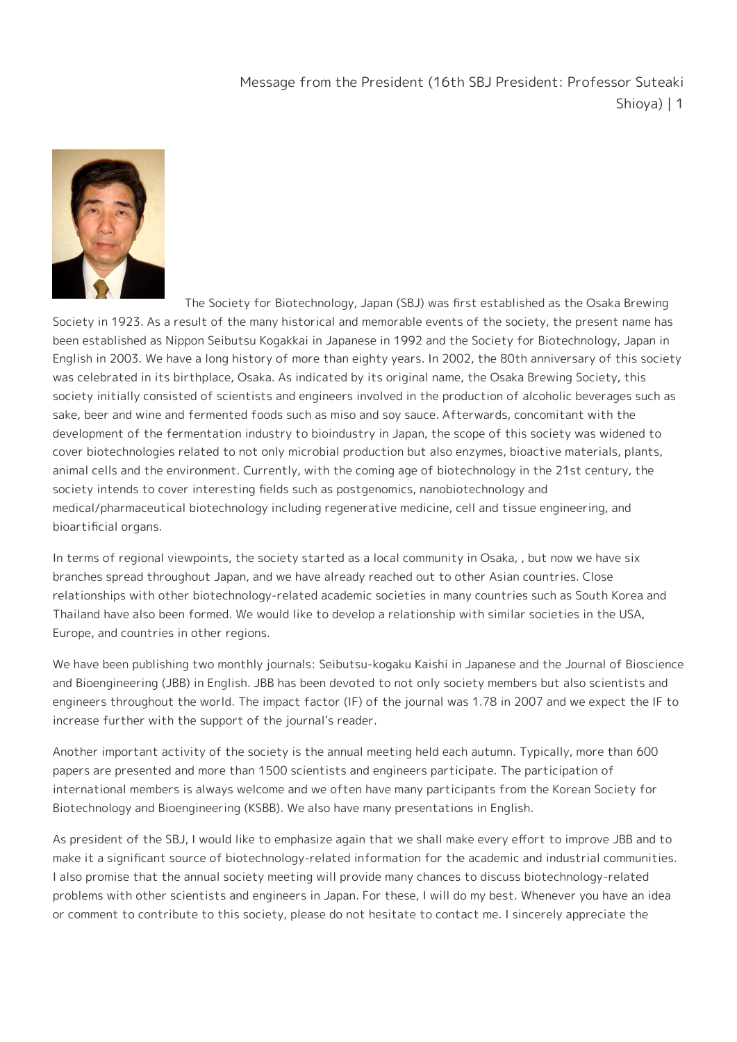## Message from the President (16th SBJ President: Professor Suteaki Shioya) | 1



The Society for Biotechnology, Japan (SBJ) was first established as the Osaka Brewing Society in 1923. As a result of the many historical and memorable events of the society, the present name has been established as Nippon Seibutsu Kogakkai in Japanese in 1992 and the Society for Biotechnology, Japan in English in 2003. We have a long history of more than eighty years. In 2002, the 80th anniversary of this society was celebrated in its birthplace, Osaka. As indicated by its original name, the Osaka Brewing Society, this society initially consisted of scientists and engineers involved in the production of alcoholic beverages such as sake, beer and wine and fermented foods such as miso and soy sauce. Afterwards, concomitant with the development of the fermentation industry to bioindustry in Japan, the scope of this society was widened to cover biotechnologies related to not only microbial production but also enzymes, bioactive materials, plants, animal cells and the environment. Currently, with the coming age of biotechnology in the 21st century, the society intends to cover interesting fields such as postgenomics, nanobiotechnology and medical/pharmaceutical biotechnology including regenerative medicine, cell and tissue engineering, and bioartificial organs.

In terms of regional viewpoints, the society started as a local community in Osaka, , but now we have six branches spread throughout Japan, and we have already reached out to other Asian countries. Close relationships with other biotechnology-related academic societies in many countries such as South Korea and Thailand have also been formed. We would like to develop a relationship with similar societies in the USA, Europe, and countries in other regions.

We have been publishing two monthly journals: Seibutsu-kogaku Kaishi in Japanese and the Journal of Bioscience and Bioengineering (JBB) in English. JBB has been devoted to not only society members but also scientists and engineers throughout the world. The impact factor (IF) of the journal was 1.78 in 2007 and we expect the IF to increase further with the support of the journal's reader.

Another important activity of the society is the annual meeting held each autumn. Typically, more than 600 papers are presented and more than 1500 scientists and engineers participate. The participation of international members is always welcome and we often have many participants from the Korean Society for Biotechnology and Bioengineering (KSBB). We also have many presentations in English.

As president of the SBJ, I would like to emphasize again that we shall make every effort to improve JBB and to make it a significant source of biotechnology-related information for the academic and industrial communities. I also promise that the annual society meeting will provide many chances to discuss biotechnology-related problems with other scientists and engineers in Japan. For these, I will do my best. Whenever you have an idea or comment to contribute to this society, please do not hesitate to contact me. I sincerely appreciate the